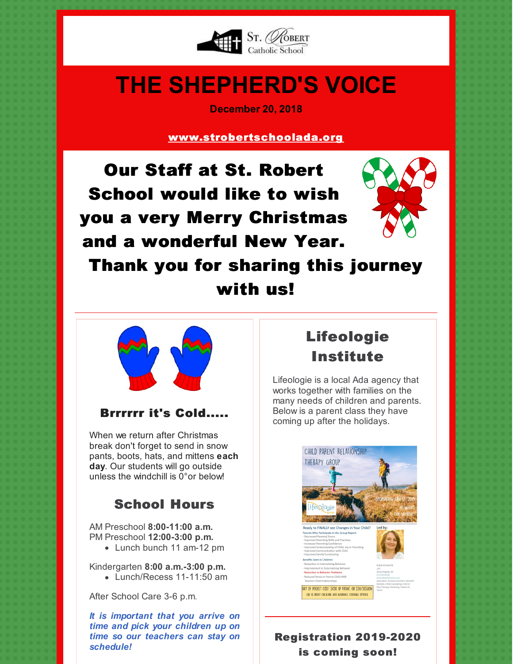

# **THE SHEPHERD'S VOICE**

**December 20, 2018**

[www.strobertschoolada.org](http://strobertschoolada.org)

Our Staff at St. Robert School would like to wish you a very Merry Christmas and a wonderful New Year.



Thank you for sharing this journey with us!



#### Brrrrrr it's Cold.....

When we return after Christmas break don't forget to send in snow pants, boots, hats, and mittens **each day**. Our students will go outside unless the windchill is  $0^{\circ}$  or below!

## School Hours

AM Preschool **8:00-11:00 a.m.** PM Preschool **12:00-3:00 p.m.**

• Lunch bunch 11 am-12 pm

Kindergarten **8:00 a.m.-3:00 p.m.** • Lunch/Recess 11-11:50 am

After School Care 3-6 p.m.

*It is important that you arrive on time and pick your children up on time so our teachers can stay on schedule!*

# Lifeologie Institute

Lifeologie is a local Ada agency that works together with families on the many needs of children and parents. Below is a parent class they have coming up after the holidays.



### Registration 2019-2020 is coming soon!